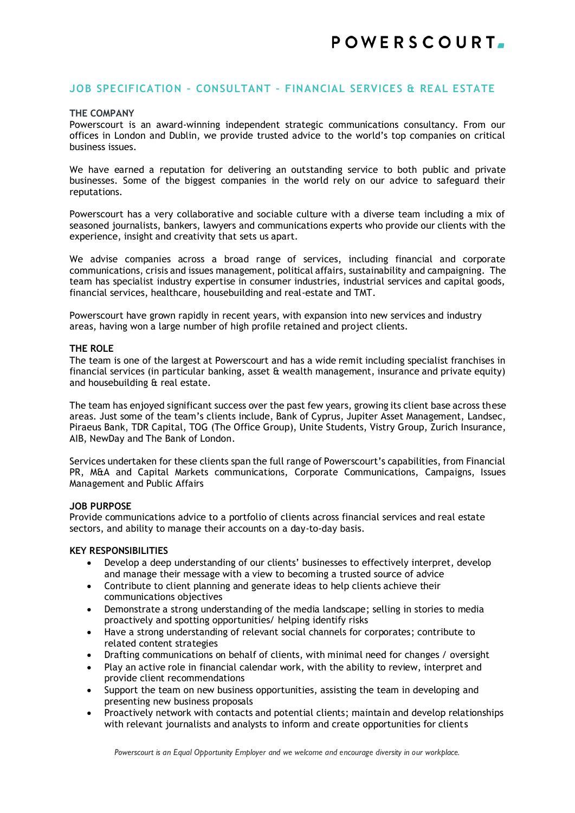# **JOB SPECIFICATION – CONSULTANT – FINANCIAL SERVICES & REAL ESTATE**

#### **THE COMPANY**

Powerscourt is an award-winning independent strategic communications consultancy. From our offices in London and Dublin, we provide trusted advice to the world's top companies on critical business issues.

We have earned a reputation for delivering an outstanding service to both public and private businesses. Some of the biggest companies in the world rely on our advice to safeguard their reputations.

Powerscourt has a very collaborative and sociable culture with a diverse team including a mix of seasoned journalists, bankers, lawyers and communications experts who provide our clients with the experience, insight and creativity that sets us apart.

We advise companies across a broad range of services, including financial and corporate communications, crisis and issues management, political affairs, sustainability and campaigning. The team has specialist industry expertise in consumer industries, industrial services and capital goods, financial services, healthcare, housebuilding and real-estate and TMT.

Powerscourt have grown rapidly in recent years, with expansion into new services and industry areas, having won a large number of high profile retained and project clients.

#### **THE ROLE**

The team is one of the largest at Powerscourt and has a wide remit including specialist franchises in financial services (in particular banking, asset  $\theta$  wealth management, insurance and private equity) and housebuilding & real estate.

The team has enjoyed significant success over the past few years, growing its client base across these areas. Just some of the team's clients include, Bank of Cyprus, Jupiter Asset Management, Landsec, Piraeus Bank, TDR Capital, TOG (The Office Group), Unite Students, Vistry Group, Zurich Insurance, AIB, NewDay and The Bank of London.

Services undertaken for these clients span the full range of Powerscourt's capabilities, from Financial PR, M&A and Capital Markets communications, Corporate Communications, Campaigns, Issues Management and Public Affairs

#### **JOB PURPOSE**

Provide communications advice to a portfolio of clients across financial services and real estate sectors, and ability to manage their accounts on a day-to-day basis.

#### **KEY RESPONSIBILITIES**

- Develop a deep understanding of our clients' businesses to effectively interpret, develop and manage their message with a view to becoming a trusted source of advice
- Contribute to client planning and generate ideas to help clients achieve their communications objectives
- Demonstrate a strong understanding of the media landscape; selling in stories to media proactively and spotting opportunities/ helping identify risks
- Have a strong understanding of relevant social channels for corporates; contribute to related content strategies
- Drafting communications on behalf of clients, with minimal need for changes / oversight
- Play an active role in financial calendar work, with the ability to review, interpret and provide client recommendations
- Support the team on new business opportunities, assisting the team in developing and presenting new business proposals
- Proactively network with contacts and potential clients; maintain and develop relationships with relevant journalists and analysts to inform and create opportunities for clients